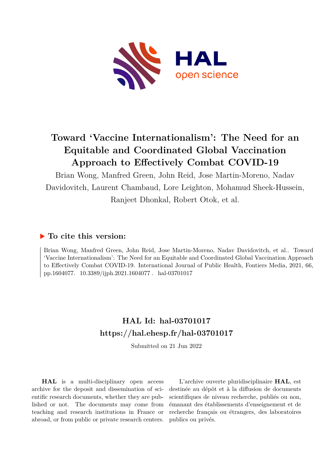

# **Toward 'Vaccine Internationalism': The Need for an Equitable and Coordinated Global Vaccination Approach to Effectively Combat COVID-19**

Brian Wong, Manfred Green, John Reid, Jose Martin-Moreno, Nadav Davidovitch, Laurent Chambaud, Lore Leighton, Mohamud Sheek-Hussein, Ranjeet Dhonkal, Robert Otok, et al.

# **To cite this version:**

Brian Wong, Manfred Green, John Reid, Jose Martin-Moreno, Nadav Davidovitch, et al.. Toward 'Vaccine Internationalism': The Need for an Equitable and Coordinated Global Vaccination Approach to Effectively Combat COVID-19. International Journal of Public Health, Fontiers Media, 2021, 66, pp.1604077. 10.3389/ijph.2021.1604077. hal-03701017

# **HAL Id: hal-03701017 <https://hal.ehesp.fr/hal-03701017>**

Submitted on 21 Jun 2022

**HAL** is a multi-disciplinary open access archive for the deposit and dissemination of scientific research documents, whether they are published or not. The documents may come from teaching and research institutions in France or abroad, or from public or private research centers.

L'archive ouverte pluridisciplinaire **HAL**, est destinée au dépôt et à la diffusion de documents scientifiques de niveau recherche, publiés ou non, émanant des établissements d'enseignement et de recherche français ou étrangers, des laboratoires publics ou privés.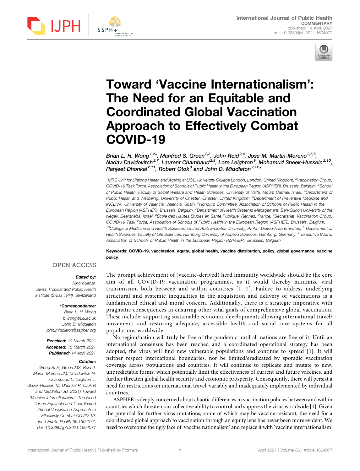

# Toward 'Vaccine Internationalism': The Need for an Equitable and Coordinated Global Vaccination Approach to Effectively Combat COVID-19

Brian L. H. Wong<sup>1,2</sup>\*, Manfred S. Green<sup>2,3</sup>, John Reid<sup>2,4</sup>, Jose M. Martin-Moreno<sup>2,5,6</sup>, Nadav Davidovitch<sup>2,7</sup>, Laurent Chambaud<sup>2,8</sup>, Lore Leighton<sup>9</sup>, Mohamud Sheek-Hussein<sup>2,10</sup>, Ranjeet Dhonkal<sup>2,11</sup>, Robert Otok<sup>9</sup> and John D. Middleton<sup>2,12\*</sup>

<sup>1</sup>MRC Unit for Lifelong Health and Ageing at UCL, University College London, London, United Kingdom, <sup>2</sup>Vaccination Group, COVID-19 Task Force, Association of Schools of Public Health in the European Region (ASPHER), Brussels, Belgium, <sup>3</sup>School of Public Health, Faculty of Social Welfare and Health Sciences, University of Haifa, Mount Carmel, Israel, <sup>4</sup>Department of Public Health and Wellbeing, University of Chester, Chester, United Kingdom, <sup>5</sup>Department of Preventive Medicine and INCLIVA, University of Valencia, Valencia, Spain, <sup>6</sup>Honours Committee, Association of Schools of Public Health in the European Region (ASPHER), Brussels, Belgium, <sup>7</sup>Department of Health Systems Management, Ben-Gurion University of the Negev, Beersheba, Israel, <sup>8</sup>École des Hautes Etudes en Santé Publique, Rennes, France, <sup>9</sup>Secretariat, Vaccination Group, COVID-19 Task Force, Association of Schools of Public Health in the European Region (ASPHER), Brussels, Belgium,  $^{10}$ College of Medicine and Health Sciences, United Arab Emirates University, Al-Ain, United Arab Emirates,  $^{11}$ Department of Health Sciences, Faculty of Life Sciences, Hamburg University of Applied Sciences, Hamburg, Germany, <sup>12</sup>Executive Board, Association of Schools of Public Health in the European Region (ASPHER), Brussels, Belgium International Journal of Public Health **Coordination** and **Coordination Coordination Coordination Coordination Coordination Coordination Coordination Coordination Coordination Coordination Coordination** 

Keywords: COVID-19, vaccination, equity, global health, vaccine distribution, policy, global governance, vaccine policy

### Edited by:

Nino Kuenzli, Swiss Tropical and Public Health Institute (Swiss TPH), Switzerland

### \*Correspondence:

Brian L. H. Wong [b.wong@ucl.ac.uk](mailto:b.wong@ucl.ac.uk) John D. Middleton [john.middleton@aspher.org](mailto:john.middleton@aspher.org)

Received: 10 March 2021 Accepted: 15 March 2021 Published: 14 April 2021

#### Citation:

Wong BLH, Green MS, Reid J, Martin-Moreno JM, Davidovitch N, Chambaud L, Leighton L, Sheek-Hussein M, Dhonkal R, Otok R and Middleton JD (2021) Toward 'Vaccine Internationalism': The Need for an Equitable and Coordinated Global Vaccination Approach to Effectively Combat COVID-19. Int J Public Health 66:1604077. doi: [10.3389/ijph.2021.1604077](https://doi.org/10.3389/ijph.2021.1604077) The prompt achievement of (vaccine-derived) herd immunity worldwide should be the core aim of all COVID-19 vaccination programmes, as it would thereby minimize viral transmission both between and within countries [1, 2]. Failure to address underlying structural and systemic inequalities in the acquisition and delivery of vaccinations is a fundamental ethical and moral concern. Additionally, there is a strategic imperative with pragmatic consequences in ensuring other vital goals of comprehensive global vaccination. These include: supporting sustainable economic development; allowing international travel/ movement; and restoring adequate, accessible health and social care systems for all populations worldwide.

No region/nation will truly be free of the pandemic until all nations are free of it. Until an international consensus has been reached and a coordinated operational strategy has been adopted, the virus will find new vulnerable populations and continue to spread [3]. It will neither respect international boundaries, nor be limited/eradicated by sporadic vaccination coverage across populations and countries. It will continue to replicate and mutate to new, unpredictable forms, which potentially limit the effectiveness of current and future vaccines, and further threaten global health security and economic prosperity. Consequently, there will persist a need for restrictions on international travel, variably and inadequately implemented by individual countries.

ASPHER is deeply concerned about chaotic differences in vaccination policies between and within countries which threaten our collective ability to control and suppress the virus worldwide [4]. Given the potential for further virus mutations, some of which may be vaccine-resistant, the need for a coordinated global approach to vaccination through an equity lens has never been more evident. We need to overcome the ugly face of 'vaccine nationalism' and replace it with 'vaccine internationalism'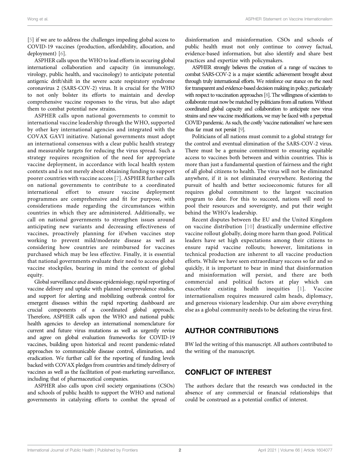[5] if we are to address the challenges impeding global access to COVID-19 vaccines (production, affordability, allocation, and deployment) [6].

ASPHER calls upon the WHO to lead efforts in securing global international collaboration and capacity (in immunology, virology, public health, and vaccinology) to anticipate potential antigenic drift/shift in the severe acute respiratory syndrome coronavirus 2 (SARS-COV-2) virus. It is crucial for the WHO to not only bolster its efforts to maintain and develop comprehensive vaccine responses to the virus, but also adapt them to combat potential new strains.

ASPHER calls upon national governments to commit to international vaccine leadership through the WHO, supported by other key international agencies and integrated with the COVAX GAVI initiative. National governments must adopt an international consensus with a clear public health strategy and measurable targets for reducing the virus spread. Such a strategy requires recognition of the need for appropriate vaccine deployment, in accordance with local health system contexts and is not merely about obtaining funding to support poorer countries with vaccine access [7]. ASPHER further calls on national governments to contribute to a coordinated international effort to ensure vaccine deployment programmes are comprehensive and fit for purpose, with considerations made regarding the circumstances within countries in which they are administered. Additionally, we call on national governments to strengthen issues around anticipating new variants and decreasing effectiveness of vaccines, proactively planning for if/when vaccines stop working to prevent mild/moderate disease as well as considering how countries are reimbursed for vaccines purchased which may be less effective. Finally, it is essential that national governments evaluate their need to access global vaccine stockpiles, bearing in mind the context of global equity.

Global surveillance and disease epidemiology, rapid reporting of vaccine delivery and uptake with planned seroprevalence studies, and support for alerting and mobilizing outbreak control for emergent diseases within the rapid reporting dashboard are crucial components of a coordinated global approach. Therefore, ASPHER calls upon the WHO and national public health agencies to develop an international nomenclature for current and future virus mutations as well as urgently revise and agree on global evaluation frameworks for COVID-19 vaccines, building upon historical and recent pandemic-related approaches to communicable disease control, elimination, and eradication. We further call for the reporting of funding levels backed with COVAX pledges from countries and timely delivery of vaccines as well as the facilitation of post-marketing surveillance, including that of pharmaceutical companies.

ASPHER also calls upon civil society organisations (CSOs) and schools of public health to support the WHO and national governments in catalyzing efforts to combat the spread of

disinformation and misinformation. CSOs and schools of public health must not only continue to convey factual, evidence-based information, but also identify and share best practices and expertize with policymakers.

ASPHER strongly believes the creation of a range of vaccines to combat SARS-COV-2 is a major scientific achievement brought about through truly international efforts. We reinforce our stance on the need for transparent and evidence-based decision making in policy, particularly with respect to vaccination approaches [8]. The willingness of scientists to collaborate must now be matched by politicians from all nations. Without coordinated global capacity and collaboration to anticipate new virus strains and new vaccine modifications, we may be faced with a perpetual COVID pandemic. As such, the costly 'vaccine nationalism' we have seen thus far must not persist [9].

Politicians of all nations must commit to a global strategy for the control and eventual elimination of the SARS-COV-2 virus. There must be a genuine commitment to ensuring equitable access to vaccines both between and within countries. This is more than just a fundamental question of fairness and the right of all global citizens to health. The virus will not be eliminated anywhere, if it is not eliminated everywhere. Restoring the pursuit of health and better socioeconomic futures for all requires global commitment to the largest vaccination program to date. For this to succeed, nations will need to pool their resources and sovereignty, and put their weight behind the WHO's leadership.

Recent disputes between the EU and the United Kingdom on vaccine distribution [10] drastically undermine effective vaccine rollout globally, doing more harm than good. Political leaders have set high expectations among their citizens to ensure rapid vaccine rollouts; however, limitations in technical production are inherent to all vaccine production efforts. While we have seen extraordinary success so far and so quickly, it is important to bear in mind that disinformation and misinformation will persist, and there are both commercial and political factors at play which can exacerbate existing health inequities [1]. Vaccine internationalism requires measured calm heads, diplomacy, and generous visionary leadership. Our aim above everything else as a global community needs to be defeating the virus first.

### AUTHOR CONTRIBUTIONS

BW led the writing of this manuscript. All authors contributed to the writing of the manuscript.

### CONFLICT OF INTEREST

The authors declare that the research was conducted in the absence of any commercial or financial relationships that could be construed as a potential conflict of interest.